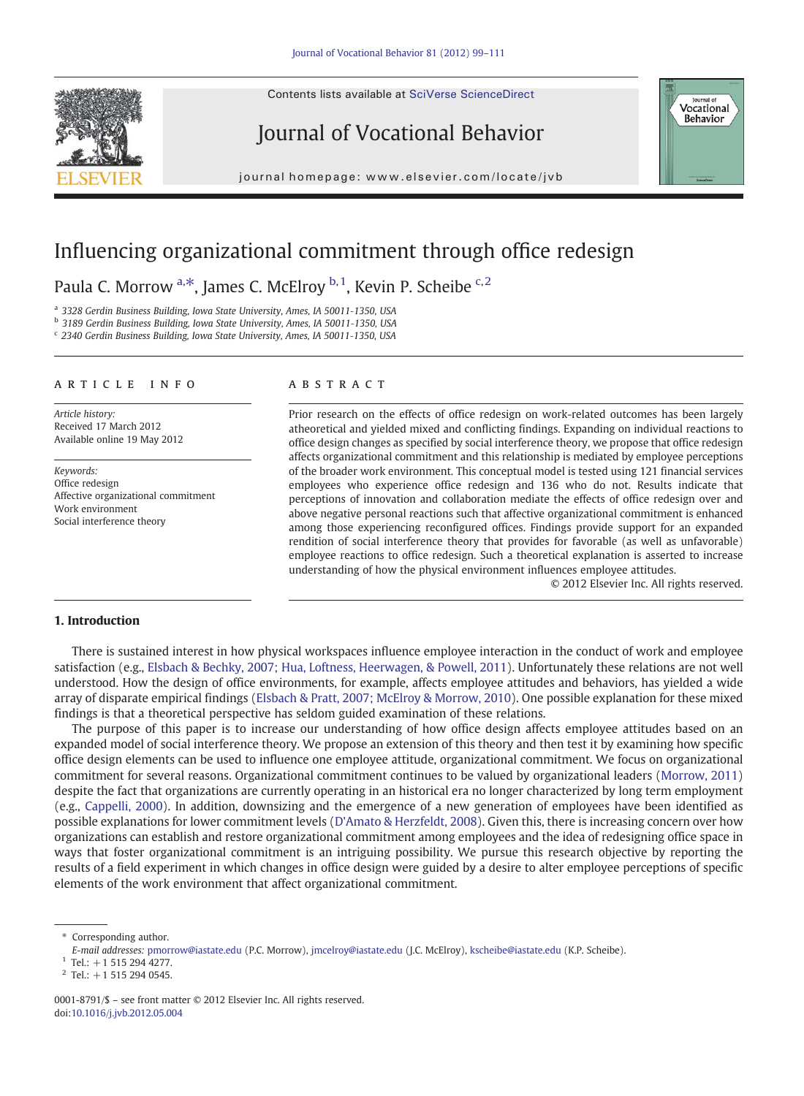Contents lists available at SciVerse ScienceDirect







journal homepage: www.elsevier.com/locate/jvb

## Influencing organizational commitment through office redesign

Paula C. Morrow a,\*, James C. McElroy b,1, Kevin P. Scheibe c,2

<sup>a</sup> 3328 Gerdin Business Building, Iowa State University, Ames, IA 50011‐1350, USA

b 3189 Gerdin Business Building, Iowa State University, Ames, IA 50011-1350, USA

<sup>c</sup> 2340 Gerdin Business Building, Iowa State University, Ames, IA 50011‐1350, USA

#### article info abstract

Article history: Received 17 March 2012 Available online 19 May 2012

Keywords: Office redesign Affective organizational commitment Work environment Social interference theory

Prior research on the effects of office redesign on work-related outcomes has been largely atheoretical and yielded mixed and conflicting findings. Expanding on individual reactions to office design changes as specified by social interference theory, we propose that office redesign affects organizational commitment and this relationship is mediated by employee perceptions of the broader work environment. This conceptual model is tested using 121 financial services employees who experience office redesign and 136 who do not. Results indicate that perceptions of innovation and collaboration mediate the effects of office redesign over and above negative personal reactions such that affective organizational commitment is enhanced among those experiencing reconfigured offices. Findings provide support for an expanded rendition of social interference theory that provides for favorable (as well as unfavorable) employee reactions to office redesign. Such a theoretical explanation is asserted to increase understanding of how the physical environment influences employee attitudes.

© 2012 Elsevier Inc. All rights reserved.

#### 1. Introduction

There is sustained interest in how physical workspaces influence employee interaction in the conduct of work and employee satisfaction (e.g., [Elsbach & Bechky, 2007; Hua, Loftness, Heerwagen, & Powell, 2011](#page--1-0)). Unfortunately these relations are not well understood. How the design of office environments, for example, affects employee attitudes and behaviors, has yielded a wide array of disparate empirical findings ([Elsbach & Pratt, 2007; McElroy & Morrow, 2010\)](#page--1-0). One possible explanation for these mixed findings is that a theoretical perspective has seldom guided examination of these relations.

The purpose of this paper is to increase our understanding of how office design affects employee attitudes based on an expanded model of social interference theory. We propose an extension of this theory and then test it by examining how specific office design elements can be used to influence one employee attitude, organizational commitment. We focus on organizational commitment for several reasons. Organizational commitment continues to be valued by organizational leaders ([Morrow, 2011\)](#page--1-0) despite the fact that organizations are currently operating in an historical era no longer characterized by long term employment (e.g., [Cappelli, 2000](#page--1-0)). In addition, downsizing and the emergence of a new generation of employees have been identified as possible explanations for lower commitment levels ([D'Amato & Herzfeldt, 2008\)](#page--1-0). Given this, there is increasing concern over how organizations can establish and restore organizational commitment among employees and the idea of redesigning office space in ways that foster organizational commitment is an intriguing possibility. We pursue this research objective by reporting the results of a field experiment in which changes in office design were guided by a desire to alter employee perceptions of specific elements of the work environment that affect organizational commitment.

<sup>⁎</sup> Corresponding author.

E-mail addresses: [pmorrow@iastate.edu](mailto:pmorrow@iastate.edu) (P.C. Morrow), [jmcelroy@iastate.edu](mailto:jmcelroy@iastate.edu) (J.C. McElroy), [kscheibe@iastate.edu](mailto:kscheibe@iastate.edu) (K.P. Scheibe).

 $1$  Tel.:  $+1$  515 294 4277.

 $2$  Tel.: +1 515 294 0545.

<sup>0001-8791/\$</sup> – see front matter © 2012 Elsevier Inc. All rights reserved. doi[:10.1016/j.jvb.2012.05.004](http://dx.doi.org/10.1016/j.jvb.2012.05.004)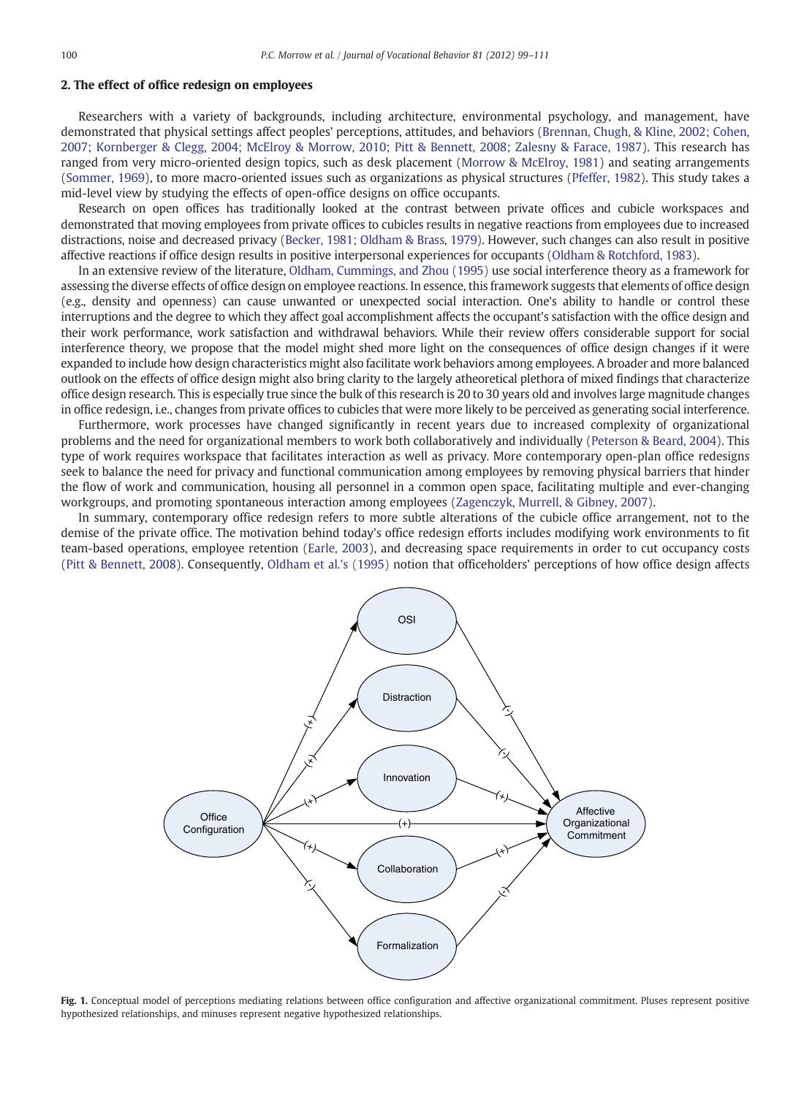### 2. The effect of office redesign on employees

Researchers with a variety of backgrounds, including architecture, environmental psychology, and management, have demonstrated that physical settings affect peoples' perceptions, attitudes, and behaviors [\(Brennan, Chugh, & Kline, 2002; Cohen,](#page--1-0) [2007; Kornberger & Clegg, 2004; McElroy & Morrow, 2010; Pitt & Bennett, 2008; Zalesny & Farace, 1987\)](#page--1-0). This research has ranged from very micro-oriented design topics, such as desk placement [\(Morrow & McElroy, 1981\)](#page--1-0) and seating arrangements ([Sommer, 1969\)](#page--1-0), to more macro-oriented issues such as organizations as physical structures [\(Pfeffer, 1982\)](#page--1-0). This study takes a mid-level view by studying the effects of open-office designs on office occupants.

Research on open offices has traditionally looked at the contrast between private offices and cubicle workspaces and demonstrated that moving employees from private offices to cubicles results in negative reactions from employees due to increased distractions, noise and decreased privacy [\(Becker, 1981; Oldham & Brass, 1979\)](#page--1-0). However, such changes can also result in positive affective reactions if office design results in positive interpersonal experiences for occupants ([Oldham & Rotchford, 1983](#page--1-0)).

In an extensive review of the literature, [Oldham, Cummings, and Zhou \(1995\)](#page--1-0) use social interference theory as a framework for assessing the diverse effects of office design on employee reactions. In essence, this framework suggests that elements of office design (e.g., density and openness) can cause unwanted or unexpected social interaction. One's ability to handle or control these interruptions and the degree to which they affect goal accomplishment affects the occupant's satisfaction with the office design and their work performance, work satisfaction and withdrawal behaviors. While their review offers considerable support for social interference theory, we propose that the model might shed more light on the consequences of office design changes if it were expanded to include how design characteristics might also facilitate work behaviors among employees. A broader and more balanced outlook on the effects of office design might also bring clarity to the largely atheoretical plethora of mixed findings that characterize office design research. This is especially true since the bulk of this research is 20 to 30 years old and involves large magnitude changes in office redesign, i.e., changes from private offices to cubicles that were more likely to be perceived as generating social interference.

Furthermore, work processes have changed significantly in recent years due to increased complexity of organizational problems and the need for organizational members to work both collaboratively and individually [\(Peterson & Beard, 2004](#page--1-0)). This type of work requires workspace that facilitates interaction as well as privacy. More contemporary open-plan office redesigns seek to balance the need for privacy and functional communication among employees by removing physical barriers that hinder the flow of work and communication, housing all personnel in a common open space, facilitating multiple and ever-changing workgroups, and promoting spontaneous interaction among employees ([Zagenczyk, Murrell, & Gibney, 2007\)](#page--1-0).

In summary, contemporary office redesign refers to more subtle alterations of the cubicle office arrangement, not to the demise of the private office. The motivation behind today's office redesign efforts includes modifying work environments to fit team-based operations, employee retention ([Earle, 2003\)](#page--1-0), and decreasing space requirements in order to cut occupancy costs ([Pitt & Bennett, 2008](#page--1-0)). Consequently, [Oldham et al.'s \(1995\)](#page--1-0) notion that officeholders' perceptions of how office design affects



Fig. 1. Conceptual model of perceptions mediating relations between office configuration and affective organizational commitment. Pluses represent positive hypothesized relationships, and minuses represent negative hypothesized relationships.